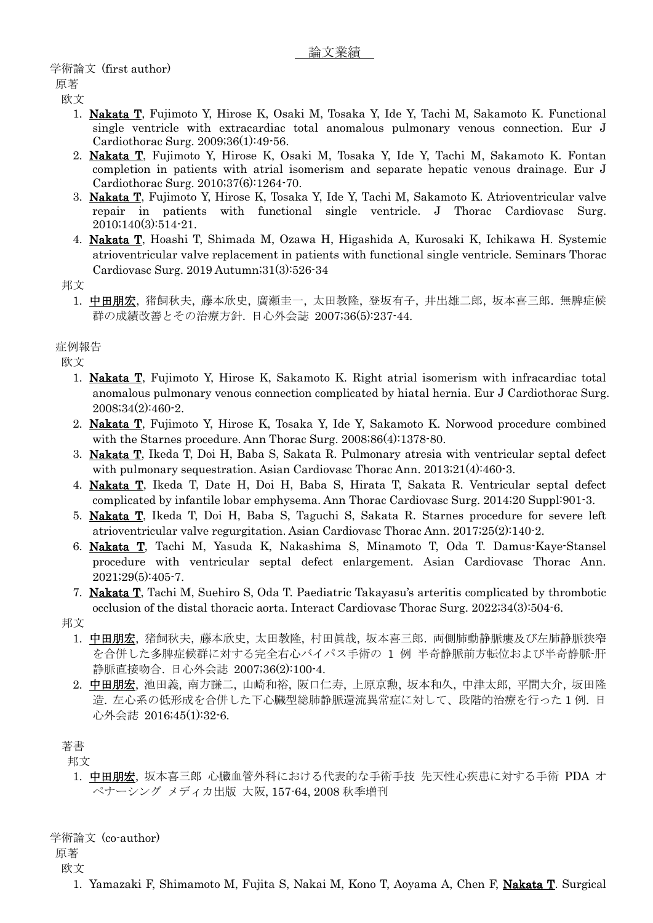## 学術論文 (first author)

原著 欧文

- 1. Nakata T, Fujimoto Y, Hirose K, Osaki M, Tosaka Y, Ide Y, Tachi M, Sakamoto K. Functional single ventricle with extracardiac total anomalous pulmonary venous connection. Eur J Cardiothorac Surg. 2009;36(1):49-56.
- 2. Nakata T, Fujimoto Y, Hirose K, Osaki M, Tosaka Y, Ide Y, Tachi M, Sakamoto K. Fontan completion in patients with atrial isomerism and separate hepatic venous drainage. Eur J Cardiothorac Surg. 2010;37(6):1264-70.
- 3. Nakata T, Fujimoto Y, Hirose K, Tosaka Y, Ide Y, Tachi M, Sakamoto K. Atrioventricular valve repair in patients with functional single ventricle. J Thorac Cardiovasc Surg. 2010;140(3):514-21.
- 4. Nakata T, Hoashi T, Shimada M, Ozawa H, Higashida A, Kurosaki K, Ichikawa H. Systemic atrioventricular valve replacement in patients with functional single ventricle. Seminars Thorac Cardiovasc Surg. 2019 Autumn;31(3):526-34

邦文

1. 中田朋宏, 猪飼秋夫, 藤本欣史, 廣瀬圭一, 太田教隆, 登坂有子, 井出雄二郎, 坂本喜三郎. 無脾症候 群の成績改善とその治療方針. 日心外会誌 2007;36(5):237-44.

症例報告

欧文

- 1. Nakata T, Fujimoto Y, Hirose K, Sakamoto K. Right atrial isomerism with infracardiac total anomalous pulmonary venous connection complicated by hiatal hernia. Eur J Cardiothorac Surg. 2008;34(2):460-2.
- 2. Nakata T, Fujimoto Y, Hirose K, Tosaka Y, Ide Y, Sakamoto K. Norwood procedure combined with the Starnes procedure. Ann Thorac Surg. 2008;86(4):1378-80.
- 3. Nakata T, Ikeda T, Doi H, Baba S, Sakata R. Pulmonary atresia with ventricular septal defect with pulmonary sequestration. Asian Cardiovasc Thorac Ann. 2013;21(4):460-3.
- 4. Nakata T, Ikeda T, Date H, Doi H, Baba S, Hirata T, Sakata R. Ventricular septal defect complicated by infantile lobar emphysema. Ann Thorac Cardiovasc Surg. 2014;20 Suppl:901-3.
- 5. Nakata T, Ikeda T, Doi H, Baba S, Taguchi S, Sakata R. Starnes procedure for severe left atrioventricular valve regurgitation. Asian Cardiovasc Thorac Ann. 2017;25(2):140-2.
- 6. Nakata T, Tachi M, Yasuda K, Nakashima S, Minamoto T, Oda T. Damus-Kaye-Stansel procedure with ventricular septal defect enlargement. Asian Cardiovasc Thorac Ann. 2021;29(5):405-7.
- 7. Nakata T, Tachi M, Suehiro S, Oda T. Paediatric Takayasu's arteritis complicated by thrombotic occlusion of the distal thoracic aorta. Interact Cardiovasc Thorac Surg. 2022;34(3):504-6.

邦文

- 1. 中田朋宏, 猪飼秋夫, 藤本欣史, 太田教隆, 村田眞哉, 坂本喜三郎. 両側肺動静脈瘻及び左肺静脈狭窄 を合併した多脾症候群に対する完全右心バイパス手術の 1 例 半奇静脈前方転位および半奇静脈-肝 静脈直接吻合. 日心外会誌 2007;36(2):100-4.
- 2. 中田朋宏, 池田義, 南方謙二, 山崎和裕, 阪口仁寿, 上原京勲, 坂本和久, 中津太郎, 平間大介, 坂田隆 造. 左心系の低形成を合併した下心臓型総肺静脈還流異常症に対して、段階的治療を行った 1 例. 日 心外会誌 2016;45(1):32-6.

著書

邦文

1. 中田朋宏, 坂本喜三郎 心臓血管外科における代表的な手術手技 先天性心疾患に対する手術 PDA オ ペナーシング メディカ出版 大阪, 157-64, 2008 秋季増刊

学術論文 (co-author)

原著 欧文

1. Yamazaki F, Shimamoto M, Fujita S, Nakai M, Kono T, Aoyama A, Chen F, Nakata T. Surgical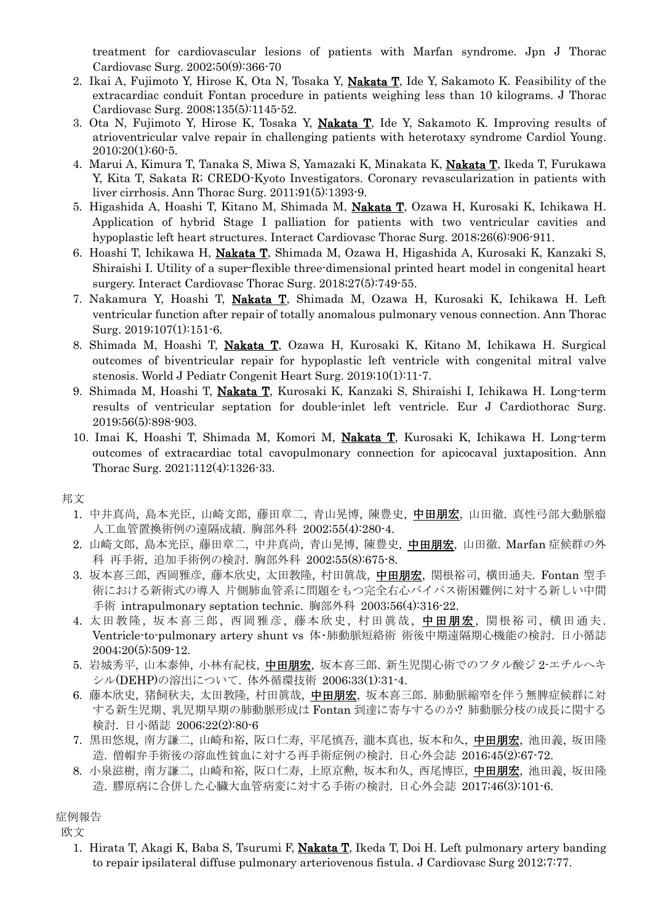treatment for cardiovascular lesions of patients with Marfan syndrome. Jpn J Thorac Cardiovasc Surg. 2002;50(9):366-70

- 2. Ikai A, Fujimoto Y, Hirose K, Ota N, Tosaka Y, Nakata T, Ide Y, Sakamoto K. Feasibility of the extracardiac conduit Fontan procedure in patients weighing less than 10 kilograms. J Thorac Cardiovasc Surg. 2008;135(5):1145-52.
- 3. Ota N, Fujimoto Y, Hirose K, Tosaka Y, Nakata T, Ide Y, Sakamoto K. Improving results of atrioventricular valve repair in challenging patients with heterotaxy syndrome Cardiol Young.  $2010;20(1):60-5.$
- 4. Marui A, Kimura T, Tanaka S, Miwa S, Yamazaki K, Minakata K, Nakata T, Ikeda T, Furukawa Y, Kita T, Sakata R; CREDO-Kyoto Investigators. Coronary revascularization in patients with liver cirrhosis. Ann Thorac Surg. 2011;91(5):1393-9.
- 5. Higashida A, Hoashi T, Kitano M, Shimada M, *Nakata T*, Ozawa H, Kurosaki K, Ichikawa H. Application of hybrid Stage I palliation for patients with two ventricular cavities and hypoplastic left heart structures. Interact Cardiovasc Thorac Surg. 2018;26(6):906-911.
- 6. Hoashi T, Ichikawa H, Nakata T, Shimada M, Ozawa H, Higashida A, Kurosaki K, Kanzaki S, Shiraishi I. Utility of a super-flexible three-dimensional printed heart model in congenital heart surgery. Interact Cardiovasc Thorac Surg. 2018;27(5):749-55.
- 7. Nakamura Y, Hoashi T, Nakata T, Shimada M, Ozawa H, Kurosaki K, Ichikawa H. Left ventricular function after repair of totally anomalous pulmonary venous connection. Ann Thorac Surg. 2019;107(1):151-6.
- 8. Shimada M, Hoashi T, Nakata T, Ozawa H, Kurosaki K, Kitano M, Ichikawa H. Surgical outcomes of biventricular repair for hypoplastic left ventricle with congenital mitral valve stenosis. World J Pediatr Congenit Heart Surg. 2019;10(1):11-7.
- 9. Shimada M, Hoashi T, Nakata T, Kurosaki K, Kanzaki S, Shiraishi I, Ichikawa H. Long-term results of ventricular septation for double-inlet left ventricle. Eur J Cardiothorac Surg. 2019;56(5):898-903.
- 10. Imai K, Hoashi T, Shimada M, Komori M, Nakata T, Kurosaki K, Ichikawa H. Long-term outcomes of extracardiac total cavopulmonary connection for apicocaval juxtaposition. Ann Thorac Surg. 2021;112(4):1326-33.

邦文

- 1. 中井真尚, 島本光臣, 山崎文郎, 藤田章二, 青山晃博, 陳豊史, 中田朋宏, 山田徹. 真性弓部大動脈瘤 人工血管置換術例の遠隔成績. 胸部外科 2002;55(4):280-4.
- 2. 山崎文郎, 島本光臣, 藤田章二, 中井真尚, 青山晃博, 陳豊史, 中田朋宏, 山田徹. Marfan 症候群の外 科 再手術, 追加手術例の検討. 胸部外科 2002;55(8):675-8.
- 3. 坂本喜三郎, 西岡雅彦, 藤本欣史, 太田教隆, 村田眞哉, 中田朋宏, 関根裕司, 横田通夫. Fontan 型手 術における新術式の導入 片側肺血管系に問題をもつ完全右心バイパス術困難例に対する新しい中間 手術 intrapulmonary septation technic. 胸部外科 2003;56(4):316-22.
- 4. 太田教隆, 坂本喜三郎, 西岡雅彦, 藤本欣史, 村田眞哉, 中田朋宏, 関根裕司, 横田通夫. Ventricle-to-pulmonary artery shunt vs 体・肺動脈短絡術 術後中期遠隔期心機能の検討. 日小循誌 2004;20(5):509-12.
- 5. 岩城秀平, 山本泰伸, 小林有紀枝, 中田朋宏, 坂本喜三郎. 新生児関心術でのフタル酸ジ 2-エチルヘキ シル(DEHP)の溶出について. 体外循環技術 2006;33(1):31-4.
- 6. 藤本欣史, 猪飼秋夫, 太田教隆, 村田眞哉, 中田朋宏, 坂本喜三郎. 肺動脈縮窄を伴う無脾症候群に対 する新生児期、乳児期早期の肺動脈形成は Fontan 到達に寄与するのか? 肺動脈分枝の成長に関する 検討. 日小循誌 2006;22(2):80-6
- 7. 黒田悠規, 南方謙二, 山崎和裕, 阪口仁寿, 平尾慎吾, 瀧本真也, 坂本和久, 中田朋宏, 池田義, 坂田隆 造. 僧帽弁手術後の溶血性貧血に対する再手術症例の検討. 日心外会誌 2016;45(2):67-72.
- 8. 小泉滋樹, 南方謙二, 山崎和裕, 阪口仁寿, 上原京勲, 坂本和久, 西尾博臣, 中田朋宏, 池田義, 坂田隆 造. 膠原病に合併した心臓大血管病変に対する手術の検討. 日心外会誌 2017;46(3):101-6.

症例報告

欧文

1. Hirata T, Akagi K, Baba S, Tsurumi F, **Nakata T**, Ikeda T, Doi H. Left pulmonary artery banding to repair ipsilateral diffuse pulmonary arteriovenous fistula. J Cardiovasc Surg 2012;7:77.